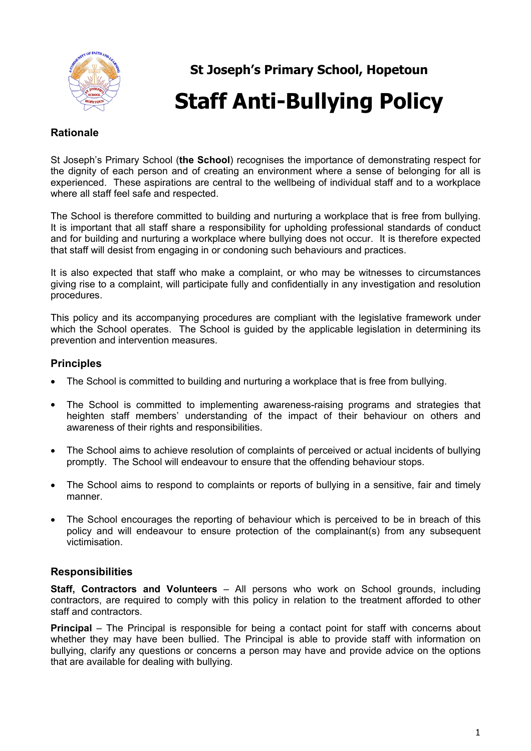

# **St Joseph's Primary School, Hopetoun Staff Anti-Bullying Policy**

# **Rationale**

St Joseph's Primary School (**the School**) recognises the importance of demonstrating respect for the dignity of each person and of creating an environment where a sense of belonging for all is experienced. These aspirations are central to the wellbeing of individual staff and to a workplace where all staff feel safe and respected.

The School is therefore committed to building and nurturing a workplace that is free from bullying. It is important that all staff share a responsibility for upholding professional standards of conduct and for building and nurturing a workplace where bullying does not occur. It is therefore expected that staff will desist from engaging in or condoning such behaviours and practices.

It is also expected that staff who make a complaint, or who may be witnesses to circumstances giving rise to a complaint, will participate fully and confidentially in any investigation and resolution procedures.

This policy and its accompanying procedures are compliant with the legislative framework under which the School operates. The School is quided by the applicable legislation in determining its prevention and intervention measures.

# **Principles**

- The School is committed to building and nurturing a workplace that is free from bullying.
- The School is committed to implementing awareness-raising programs and strategies that heighten staff members' understanding of the impact of their behaviour on others and awareness of their rights and responsibilities.
- The School aims to achieve resolution of complaints of perceived or actual incidents of bullying promptly. The School will endeavour to ensure that the offending behaviour stops.
- The School aims to respond to complaints or reports of bullying in a sensitive, fair and timely manner.
- The School encourages the reporting of behaviour which is perceived to be in breach of this policy and will endeavour to ensure protection of the complainant(s) from any subsequent victimisation.

# **Responsibilities**

**Staff, Contractors and Volunteers** – All persons who work on School grounds, including contractors, are required to comply with this policy in relation to the treatment afforded to other staff and contractors.

**Principal** – The Principal is responsible for being a contact point for staff with concerns about whether they may have been bullied. The Principal is able to provide staff with information on bullying, clarify any questions or concerns a person may have and provide advice on the options that are available for dealing with bullying.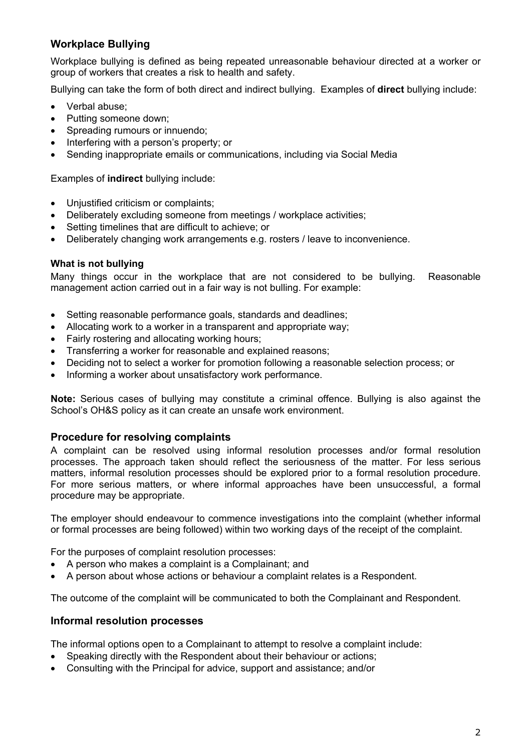# **Workplace Bullying**

Workplace bullying is defined as being repeated unreasonable behaviour directed at a worker or group of workers that creates a risk to health and safety.

Bullying can take the form of both direct and indirect bullying. Examples of **direct** bullying include:

- Verbal abuse:
- Putting someone down;
- Spreading rumours or innuendo:
- Interfering with a person's property; or
- Sending inappropriate emails or communications, including via Social Media

Examples of **indirect** bullying include:

- Unjustified criticism or complaints;
- Deliberately excluding someone from meetings / workplace activities;
- Setting timelines that are difficult to achieve; or
- Deliberately changing work arrangements e.g. rosters / leave to inconvenience.

# **What is not bullying**

Many things occur in the workplace that are not considered to be bullying. Reasonable management action carried out in a fair way is not bulling. For example:

- Setting reasonable performance goals, standards and deadlines;
- Allocating work to a worker in a transparent and appropriate way;
- Fairly rostering and allocating working hours;
- Transferring a worker for reasonable and explained reasons;
- Deciding not to select a worker for promotion following a reasonable selection process; or
- Informing a worker about unsatisfactory work performance.

**Note:** Serious cases of bullying may constitute a criminal offence. Bullying is also against the School's OH&S policy as it can create an unsafe work environment.

# **Procedure for resolving complaints**

A complaint can be resolved using informal resolution processes and/or formal resolution processes. The approach taken should reflect the seriousness of the matter. For less serious matters, informal resolution processes should be explored prior to a formal resolution procedure. For more serious matters, or where informal approaches have been unsuccessful, a formal procedure may be appropriate.

The employer should endeavour to commence investigations into the complaint (whether informal or formal processes are being followed) within two working days of the receipt of the complaint.

For the purposes of complaint resolution processes:

- A person who makes a complaint is a Complainant; and
- A person about whose actions or behaviour a complaint relates is a Respondent.

The outcome of the complaint will be communicated to both the Complainant and Respondent.

# **Informal resolution processes**

The informal options open to a Complainant to attempt to resolve a complaint include:

- Speaking directly with the Respondent about their behaviour or actions;
- Consulting with the Principal for advice, support and assistance; and/or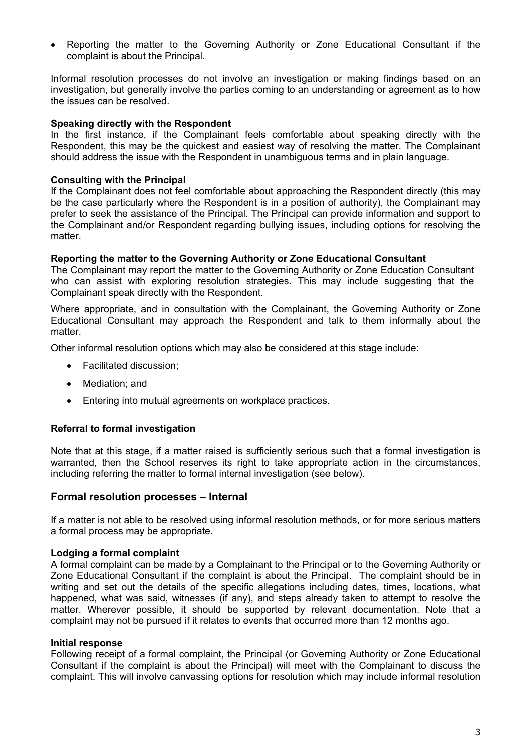Reporting the matter to the Governing Authority or Zone Educational Consultant if the complaint is about the Principal.

Informal resolution processes do not involve an investigation or making findings based on an investigation, but generally involve the parties coming to an understanding or agreement as to how the issues can be resolved.

#### **Speaking directly with the Respondent**

In the first instance, if the Complainant feels comfortable about speaking directly with the Respondent, this may be the quickest and easiest way of resolving the matter. The Complainant should address the issue with the Respondent in unambiguous terms and in plain language.

#### **Consulting with the Principal**

If the Complainant does not feel comfortable about approaching the Respondent directly (this may be the case particularly where the Respondent is in a position of authority), the Complainant may prefer to seek the assistance of the Principal. The Principal can provide information and support to the Complainant and/or Respondent regarding bullying issues, including options for resolving the matter.

#### **Reporting the matter to the Governing Authority or Zone Educational Consultant**

The Complainant may report the matter to the Governing Authority or Zone Education Consultant who can assist with exploring resolution strategies. This may include suggesting that the Complainant speak directly with the Respondent.

Where appropriate, and in consultation with the Complainant, the Governing Authority or Zone Educational Consultant may approach the Respondent and talk to them informally about the matter.

Other informal resolution options which may also be considered at this stage include:

- Facilitated discussion;
- Mediation: and
- Entering into mutual agreements on workplace practices.

## **Referral to formal investigation**

Note that at this stage, if a matter raised is sufficiently serious such that a formal investigation is warranted, then the School reserves its right to take appropriate action in the circumstances, including referring the matter to formal internal investigation (see below).

## **Formal resolution processes – Internal**

If a matter is not able to be resolved using informal resolution methods, or for more serious matters a formal process may be appropriate.

#### **Lodging a formal complaint**

A formal complaint can be made by a Complainant to the Principal or to the Governing Authority or Zone Educational Consultant if the complaint is about the Principal. The complaint should be in writing and set out the details of the specific allegations including dates, times, locations, what happened, what was said, witnesses (if any), and steps already taken to attempt to resolve the matter. Wherever possible, it should be supported by relevant documentation. Note that a complaint may not be pursued if it relates to events that occurred more than 12 months ago.

#### **Initial response**

Following receipt of a formal complaint, the Principal (or Governing Authority or Zone Educational Consultant if the complaint is about the Principal) will meet with the Complainant to discuss the complaint. This will involve canvassing options for resolution which may include informal resolution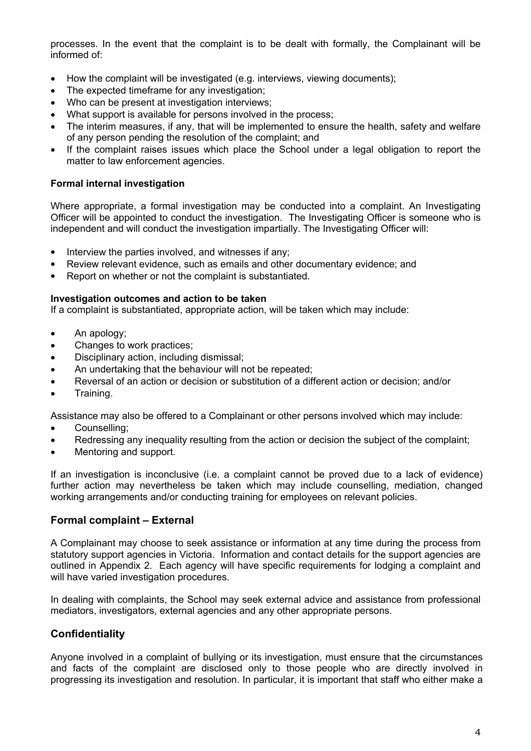processes. In the event that the complaint is to be dealt with formally, the Complainant will be informed of:

- How the complaint will be investigated (e.g. interviews, viewing documents);
- The expected timeframe for any investigation;
- Who can be present at investigation interviews;
- What support is available for persons involved in the process;
- The interim measures, if any, that will be implemented to ensure the health, safety and welfare of any person pending the resolution of the complaint; and
- If the complaint raises issues which place the School under a legal obligation to report the matter to law enforcement agencies.

## **Formal internal investigation**

Where appropriate, a formal investigation may be conducted into a complaint. An Investigating Officer will be appointed to conduct the investigation. The Investigating Officer is someone who is independent and will conduct the investigation impartially. The Investigating Officer will:

- $\bullet$  Interview the parties involved, and witnesses if any;
- Review relevant evidence, such as emails and other documentary evidence; and
- Report on whether or not the complaint is substantiated.

#### **Investigation outcomes and action to be taken**

If a complaint is substantiated, appropriate action, will be taken which may include:

- An apology;
- Changes to work practices;
- Disciplinary action, including dismissal;
- An undertaking that the behaviour will not be repeated;
- Reversal of an action or decision or substitution of a different action or decision; and/or
- Training.

Assistance may also be offered to a Complainant or other persons involved which may include:

- Counselling;
- Redressing any inequality resulting from the action or decision the subject of the complaint;
- Mentoring and support.

If an investigation is inconclusive (i.e. a complaint cannot be proved due to a lack of evidence) further action may nevertheless be taken which may include counselling, mediation, changed working arrangements and/or conducting training for employees on relevant policies.

# **Formal complaint – External**

A Complainant may choose to seek assistance or information at any time during the process from statutory support agencies in Victoria. Information and contact details for the support agencies are outlined in Appendix 2. Each agency will have specific requirements for lodging a complaint and will have varied investigation procedures.

In dealing with complaints, the School may seek external advice and assistance from professional mediators, investigators, external agencies and any other appropriate persons.

# **Confidentiality**

Anyone involved in a complaint of bullying or its investigation, must ensure that the circumstances and facts of the complaint are disclosed only to those people who are directly involved in progressing its investigation and resolution. In particular, it is important that staff who either make a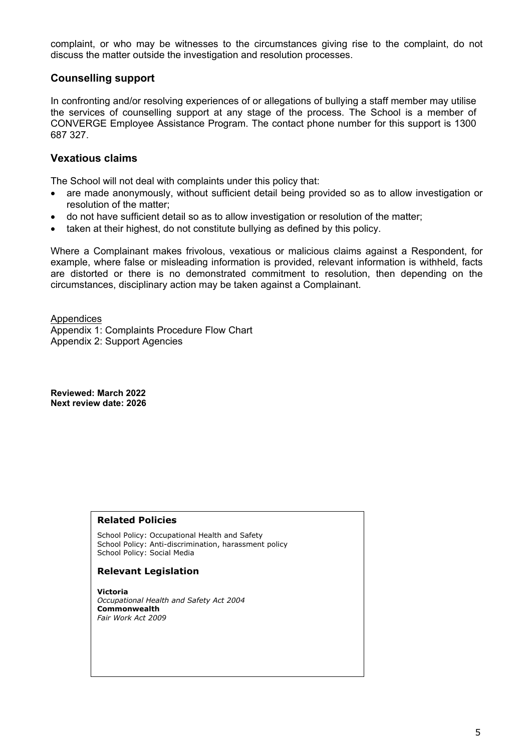complaint, or who may be witnesses to the circumstances giving rise to the complaint, do not discuss the matter outside the investigation and resolution processes.

## **Counselling support**

In confronting and/or resolving experiences of or allegations of bullying a staff member may utilise the services of counselling support at any stage of the process. The School is a member of CONVERGE Employee Assistance Program. The contact phone number for this support is 1300 687 327.

## **Vexatious claims**

The School will not deal with complaints under this policy that:

- are made anonymously, without sufficient detail being provided so as to allow investigation or resolution of the matter;
- do not have sufficient detail so as to allow investigation or resolution of the matter;
- taken at their highest, do not constitute bullying as defined by this policy.

Where a Complainant makes frivolous, vexatious or malicious claims against a Respondent, for example, where false or misleading information is provided, relevant information is withheld, facts are distorted or there is no demonstrated commitment to resolution, then depending on the circumstances, disciplinary action may be taken against a Complainant.

**Appendices** Appendix 1: Complaints Procedure Flow Chart Appendix 2: Support Agencies

**Reviewed: March 2022 Next review date: 2026**

#### **Related Policies**

School Policy: Occupational Health and Safety School Policy: Anti-discrimination, harassment policy School Policy: Social Media

## **Relevant Legislation**

**Victoria** *Occupational Health and Safety Act 2004* **Commonwealth** *Fair Work Act 2009*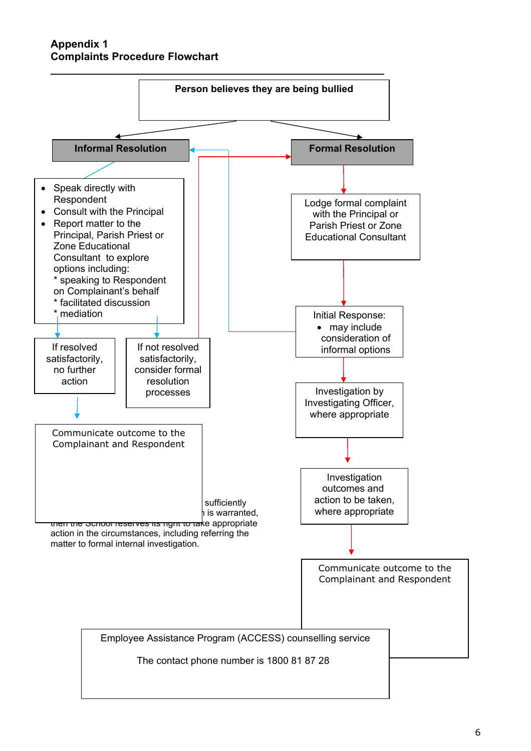**Appendix 1 Complaints Procedure Flowchart**